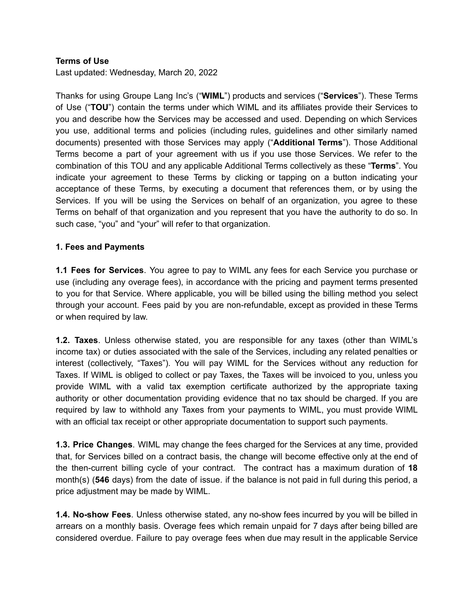### **Terms of Use**

Last updated: Wednesday, March 20, 2022

Thanks for using Groupe Lang Inc's ("**WIML**") products and services ("**Services**"). These Terms of Use ("**TOU**") contain the terms under which WIML and its affiliates provide their Services to you and describe how the Services may be accessed and used. Depending on which Services you use, additional terms and policies (including rules, guidelines and other similarly named documents) presented with those Services may apply ("**Additional Terms**"). Those Additional Terms become a part of your agreement with us if you use those Services. We refer to the combination of this TOU and any applicable Additional Terms collectively as these "**Terms**". You indicate your agreement to these Terms by clicking or tapping on a button indicating your acceptance of these Terms, by executing a document that references them, or by using the Services. If you will be using the Services on behalf of an organization, you agree to these Terms on behalf of that organization and you represent that you have the authority to do so. In such case, "you" and "your" will refer to that organization.

### **1. Fees and Payments**

**1.1 Fees for Services**. You agree to pay to WIML any fees for each Service you purchase or use (including any overage fees), in accordance with the pricing and payment terms presented to you for that Service. Where applicable, you will be billed using the billing method you select through your account. Fees paid by you are non-refundable, except as provided in these Terms or when required by law.

**1.2. Taxes**. Unless otherwise stated, you are responsible for any taxes (other than WIML's income tax) or duties associated with the sale of the Services, including any related penalties or interest (collectively, "Taxes"). You will pay WIML for the Services without any reduction for Taxes. If WIML is obliged to collect or pay Taxes, the Taxes will be invoiced to you, unless you provide WIML with a valid tax exemption certificate authorized by the appropriate taxing authority or other documentation providing evidence that no tax should be charged. If you are required by law to withhold any Taxes from your payments to WIML, you must provide WIML with an official tax receipt or other appropriate documentation to support such payments.

**1.3. Price Changes**. WIML may change the fees charged for the Services at any time, provided that, for Services billed on a contract basis, the change will become effective only at the end of the then-current billing cycle of your contract. The contract has a maximum duration of **18** month(s) (**546** days) from the date of issue. if the balance is not paid in full during this period, a price adjustment may be made by WIML.

**1.4. No-show Fees**. Unless otherwise stated, any no-show fees incurred by you will be billed in arrears on a monthly basis. Overage fees which remain unpaid for 7 days after being billed are considered overdue. Failure to pay overage fees when due may result in the applicable Service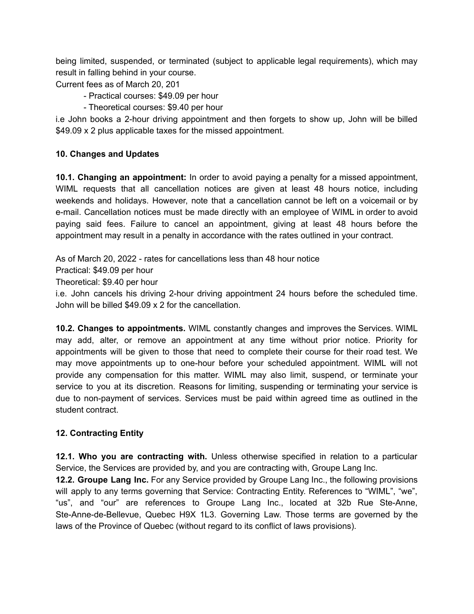being limited, suspended, or terminated (subject to applicable legal requirements), which may result in falling behind in your course.

Current fees as of March 20, 201

- Practical courses: \$49.09 per hour

- Theoretical courses: \$9.40 per hour

i.e John books a 2-hour driving appointment and then forgets to show up, John will be billed \$49.09 x 2 plus applicable taxes for the missed appointment.

## **10. Changes and Updates**

**10.1. Changing an appointment:** In order to avoid paying a penalty for a missed appointment, WIML requests that all cancellation notices are given at least 48 hours notice, including weekends and holidays. However, note that a cancellation cannot be left on a voicemail or by e-mail. Cancellation notices must be made directly with an employee of WIML in order to avoid paying said fees. Failure to cancel an appointment, giving at least 48 hours before the appointment may result in a penalty in accordance with the rates outlined in your contract.

As of March 20, 2022 - rates for cancellations less than 48 hour notice Practical: \$49.09 per hour Theoretical: \$9.40 per hour i.e. John cancels his driving 2-hour driving appointment 24 hours before the scheduled time. John will be billed \$49.09 x 2 for the cancellation.

**10.2. Changes to appointments.** WIML constantly changes and improves the Services. WIML may add, alter, or remove an appointment at any time without prior notice. Priority for appointments will be given to those that need to complete their course for their road test. We may move appointments up to one-hour before your scheduled appointment. WIML will not provide any compensation for this matter. WIML may also limit, suspend, or terminate your service to you at its discretion. Reasons for limiting, suspending or terminating your service is due to non-payment of services. Services must be paid within agreed time as outlined in the student contract.

# **12. Contracting Entity**

**12.1. Who you are contracting with.** Unless otherwise specified in relation to a particular Service, the Services are provided by, and you are contracting with, Groupe Lang Inc.

**12.2. Groupe Lang Inc.** For any Service provided by Groupe Lang Inc., the following provisions will apply to any terms governing that Service: Contracting Entity. References to "WIML", "we", "us", and "our" are references to Groupe Lang Inc., located at 32b Rue Ste-Anne, Ste-Anne-de-Bellevue, Quebec H9X 1L3. Governing Law. Those terms are governed by the laws of the Province of Quebec (without regard to its conflict of laws provisions).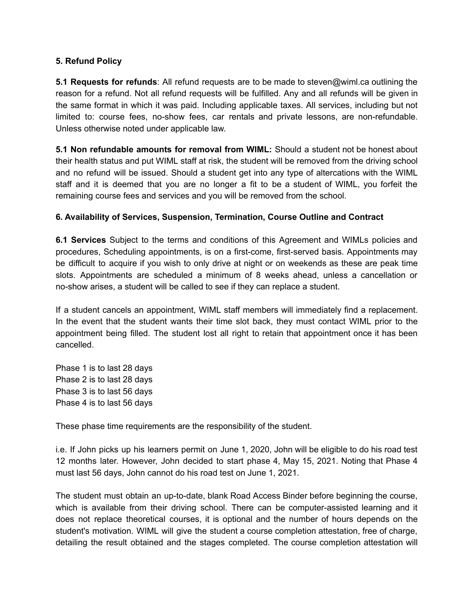### **5. Refund Policy**

**5.1 Requests for refunds**: All refund requests are to be made to steven@wiml.ca outlining the reason for a refund. Not all refund requests will be fulfilled. Any and all refunds will be given in the same format in which it was paid. Including applicable taxes. All services, including but not limited to: course fees, no-show fees, car rentals and private lessons, are non-refundable. Unless otherwise noted under applicable law.

**5.1 Non refundable amounts for removal from WIML:** Should a student not be honest about their health status and put WIML staff at risk, the student will be removed from the driving school and no refund will be issued. Should a student get into any type of altercations with the WIML staff and it is deemed that you are no longer a fit to be a student of WIML, you forfeit the remaining course fees and services and you will be removed from the school.

## **6. Availability of Services, Suspension, Termination, Course Outline and Contract**

**6.1 Services** Subject to the terms and conditions of this Agreement and WIMLs policies and procedures, Scheduling appointments, is on a first-come, first-served basis. Appointments may be difficult to acquire if you wish to only drive at night or on weekends as these are peak time slots. Appointments are scheduled a minimum of 8 weeks ahead, unless a cancellation or no-show arises, a student will be called to see if they can replace a student.

If a student cancels an appointment, WIML staff members will immediately find a replacement. In the event that the student wants their time slot back, they must contact WIML prior to the appointment being filled. The student lost all right to retain that appointment once it has been cancelled.

Phase 1 is to last 28 days Phase 2 is to last 28 days Phase 3 is to last 56 days Phase 4 is to last 56 days

These phase time requirements are the responsibility of the student.

i.e. If John picks up his learners permit on June 1, 2020, John will be eligible to do his road test 12 months later. However, John decided to start phase 4, May 15, 2021. Noting that Phase 4 must last 56 days, John cannot do his road test on June 1, 2021.

The student must obtain an up-to-date, blank Road Access Binder before beginning the course, which is available from their driving school. There can be computer-assisted learning and it does not replace theoretical courses, it is optional and the number of hours depends on the student's motivation. WIML will give the student a course completion attestation, free of charge, detailing the result obtained and the stages completed. The course completion attestation will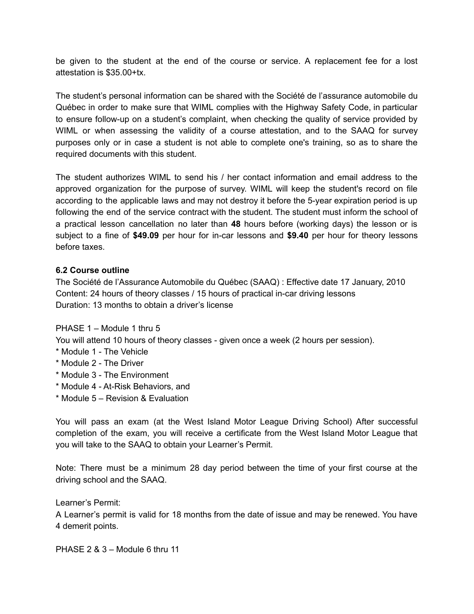be given to the student at the end of the course or service. A replacement fee for a lost attestation is \$35.00+tx.

The student's personal information can be shared with the Société de l'assurance automobile du Québec in order to make sure that WIML complies with the Highway Safety Code, in particular to ensure follow-up on a student's complaint, when checking the quality of service provided by WIML or when assessing the validity of a course attestation, and to the SAAQ for survey purposes only or in case a student is not able to complete one's training, so as to share the required documents with this student.

The student authorizes WIML to send his / her contact information and email address to the approved organization for the purpose of survey. WIML will keep the student's record on file according to the applicable laws and may not destroy it before the 5-year expiration period is up following the end of the service contract with the student. The student must inform the school of a practical lesson cancellation no later than **48** hours before (working days) the lesson or is subject to a fine of **\$49.09** per hour for in-car lessons and **\$9.40** per hour for theory lessons before taxes.

# **6.2 Course outline**

The Société de l'Assurance Automobile du Québec (SAAQ) : Effective date 17 January, 2010 Content: 24 hours of theory classes / 15 hours of practical in-car driving lessons Duration: 13 months to obtain a driver's license

### PHASE 1 – Module 1 thru 5

You will attend 10 hours of theory classes - given once a week (2 hours per session).

- \* Module 1 The Vehicle
- \* Module 2 The Driver
- \* Module 3 The Environment
- \* Module 4 At-Risk Behaviors, and
- \* Module 5 Revision & Evaluation

You will pass an exam (at the West Island Motor League Driving School) After successful completion of the exam, you will receive a certificate from the West Island Motor League that you will take to the SAAQ to obtain your Learner's Permit.

Note: There must be a minimum 28 day period between the time of your first course at the driving school and the SAAQ.

Learner's Permit:

A Learner's permit is valid for 18 months from the date of issue and may be renewed. You have 4 demerit points.

PHASE 2 & 3 – Module 6 thru 11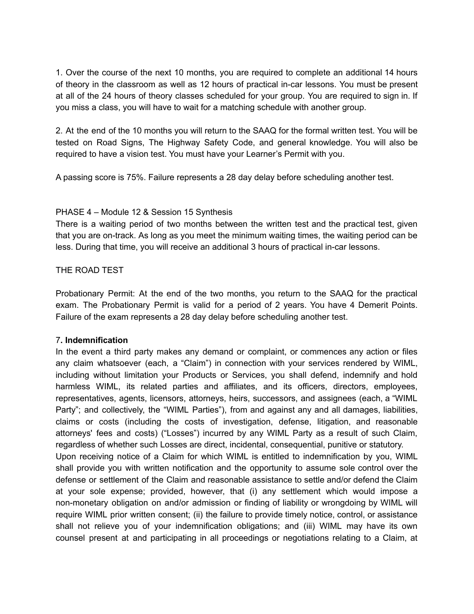1. Over the course of the next 10 months, you are required to complete an additional 14 hours of theory in the classroom as well as 12 hours of practical in-car lessons. You must be present at all of the 24 hours of theory classes scheduled for your group. You are required to sign in. If you miss a class, you will have to wait for a matching schedule with another group.

2. At the end of the 10 months you will return to the SAAQ for the formal written test. You will be tested on Road Signs, The Highway Safety Code, and general knowledge. You will also be required to have a vision test. You must have your Learner's Permit with you.

A passing score is 75%. Failure represents a 28 day delay before scheduling another test.

## PHASE 4 – Module 12 & Session 15 Synthesis

There is a waiting period of two months between the written test and the practical test, given that you are on-track. As long as you meet the minimum waiting times, the waiting period can be less. During that time, you will receive an additional 3 hours of practical in-car lessons.

## THE ROAD TEST

Probationary Permit: At the end of the two months, you return to the SAAQ for the practical exam. The Probationary Permit is valid for a period of 2 years. You have 4 Demerit Points. Failure of the exam represents a 28 day delay before scheduling another test.

### 7**. Indemnification**

In the event a third party makes any demand or complaint, or commences any action or files any claim whatsoever (each, a "Claim") in connection with your services rendered by WIML, including without limitation your Products or Services, you shall defend, indemnify and hold harmless WIML, its related parties and affiliates, and its officers, directors, employees, representatives, agents, licensors, attorneys, heirs, successors, and assignees (each, a "WIML Party"; and collectively, the "WIML Parties"), from and against any and all damages, liabilities, claims or costs (including the costs of investigation, defense, litigation, and reasonable attorneys' fees and costs) ("Losses") incurred by any WIML Party as a result of such Claim, regardless of whether such Losses are direct, incidental, consequential, punitive or statutory. Upon receiving notice of a Claim for which WIML is entitled to indemnification by you, WIML shall provide you with written notification and the opportunity to assume sole control over the defense or settlement of the Claim and reasonable assistance to settle and/or defend the Claim at your sole expense; provided, however, that (i) any settlement which would impose a non-monetary obligation on and/or admission or finding of liability or wrongdoing by WIML will require WIML prior written consent; (ii) the failure to provide timely notice, control, or assistance shall not relieve you of your indemnification obligations; and (iii) WIML may have its own counsel present at and participating in all proceedings or negotiations relating to a Claim, at